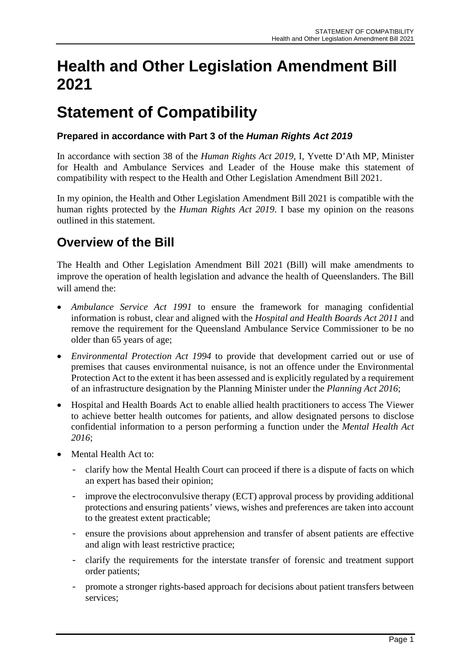# **Health and Other Legislation Amendment Bill 2021**

# **Statement of Compatibility**

#### **Prepared in accordance with Part 3 of the** *Human Rights Act 2019*

In accordance with section 38 of the *Human Rights Act 2019*, I, Yvette D'Ath MP, Minister for Health and Ambulance Services and Leader of the House make this statement of compatibility with respect to the Health and Other Legislation Amendment Bill 2021.

In my opinion, the Health and Other Legislation Amendment Bill 2021 is compatible with the human rights protected by the *Human Rights Act 2019*. I base my opinion on the reasons outlined in this statement.

### **Overview of the Bill**

The Health and Other Legislation Amendment Bill 2021 (Bill) will make amendments to improve the operation of health legislation and advance the health of Queenslanders. The Bill will amend the:

- *Ambulance Service Act 1991* to ensure the framework for managing confidential information is robust, clear and aligned with the *Hospital and Health Boards Act 2011* and remove the requirement for the Queensland Ambulance Service Commissioner to be no older than 65 years of age;
- *Environmental Protection Act 1994* to provide that development carried out or use of premises that causes environmental nuisance, is not an offence under the Environmental Protection Act to the extent it has been assessed and is explicitly regulated by a requirement of an infrastructure designation by the Planning Minister under the *Planning Act 2016*;
- Hospital and Health Boards Act to enable allied health practitioners to access The Viewer to achieve better health outcomes for patients, and allow designated persons to disclose confidential information to a person performing a function under the *Mental Health Act 2016*;
- Mental Health Act to:
	- clarify how the Mental Health Court can proceed if there is a dispute of facts on which an expert has based their opinion;
	- improve the electroconvulsive therapy (ECT) approval process by providing additional protections and ensuring patients' views, wishes and preferences are taken into account to the greatest extent practicable;
	- ensure the provisions about apprehension and transfer of absent patients are effective and align with least restrictive practice;
	- clarify the requirements for the interstate transfer of forensic and treatment support order patients;
	- promote a stronger rights-based approach for decisions about patient transfers between services;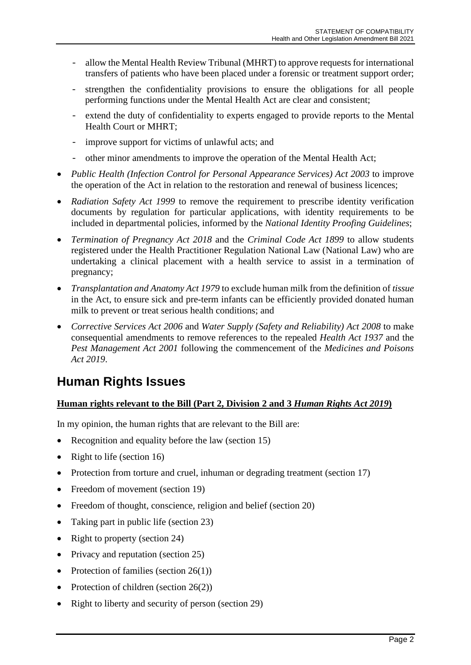- allow the Mental Health Review Tribunal (MHRT) to approve requests for international transfers of patients who have been placed under a forensic or treatment support order;
- strengthen the confidentiality provisions to ensure the obligations for all people performing functions under the Mental Health Act are clear and consistent;
- extend the duty of confidentiality to experts engaged to provide reports to the Mental Health Court or MHRT;
- improve support for victims of unlawful acts; and
- other minor amendments to improve the operation of the Mental Health Act;
- *Public Health (Infection Control for Personal Appearance Services) Act 2003* to improve the operation of the Act in relation to the restoration and renewal of business licences;
- *Radiation Safety Act 1999* to remove the requirement to prescribe identity verification documents by regulation for particular applications, with identity requirements to be included in departmental policies, informed by the *National Identity Proofing Guidelines*;
- *Termination of Pregnancy Act 2018* and the *Criminal Code Act 1899* to allow students registered under the Health Practitioner Regulation National Law (National Law) who are undertaking a clinical placement with a health service to assist in a termination of pregnancy;
- *Transplantation and Anatomy Act 1979* to exclude human milk from the definition of *tissue* in the Act, to ensure sick and pre-term infants can be efficiently provided donated human milk to prevent or treat serious health conditions; and
- *Corrective Services Act 2006* and *Water Supply (Safety and Reliability) Act 2008* to make consequential amendments to remove references to the repealed *Health Act 1937* and the *Pest Management Act 2001* following the commencement of the *Medicines and Poisons Act 2019*.

### **Human Rights Issues**

#### **Human rights relevant to the Bill (Part 2, Division 2 and 3** *Human Rights Act 2019***)**

In my opinion, the human rights that are relevant to the Bill are:

- Recognition and equality before the law (section 15)
- Right to life (section 16)
- Protection from torture and cruel, inhuman or degrading treatment (section 17)
- Freedom of movement (section 19)
- Freedom of thought, conscience, religion and belief (section 20)
- Taking part in public life (section 23)
- Right to property (section 24)
- Privacy and reputation (section 25)
- Protection of families (section  $26(1)$ )
- Protection of children (section 26(2))
- Right to liberty and security of person (section 29)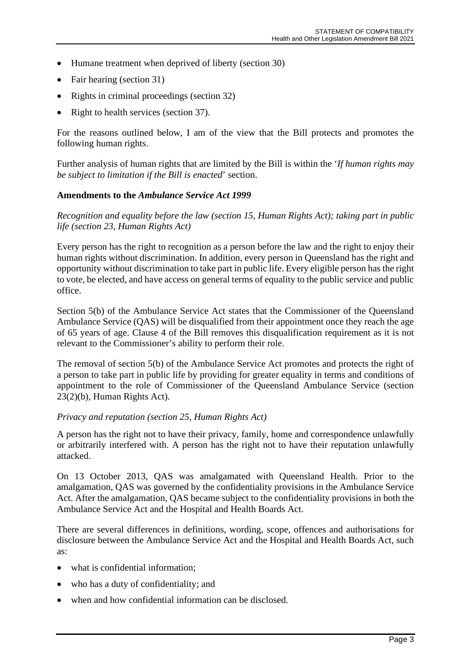- Humane treatment when deprived of liberty (section 30)
- Fair hearing (section 31)
- Rights in criminal proceedings (section 32)
- Right to health services (section 37).

For the reasons outlined below, I am of the view that the Bill protects and promotes the following human rights.

Further analysis of human rights that are limited by the Bill is within the '*If human rights may be subject to limitation if the Bill is enacted*' section.

#### **Amendments to the** *Ambulance Service Act 1999*

*Recognition and equality before the law (section 15, Human Rights Act); taking part in public life (section 23, Human Rights Act)*

Every person has the right to recognition as a person before the law and the right to enjoy their human rights without discrimination. In addition, every person in Queensland has the right and opportunity without discrimination to take part in public life. Every eligible person has the right to vote, be elected, and have access on general terms of equality to the public service and public office.

Section 5(b) of the Ambulance Service Act states that the Commissioner of the Queensland Ambulance Service (QAS) will be disqualified from their appointment once they reach the age of 65 years of age. Clause 4 of the Bill removes this disqualification requirement as it is not relevant to the Commissioner's ability to perform their role.

The removal of section 5(b) of the Ambulance Service Act promotes and protects the right of a person to take part in public life by providing for greater equality in terms and conditions of appointment to the role of Commissioner of the Queensland Ambulance Service (section 23(2)(b), Human Rights Act).

#### *Privacy and reputation (section 25, Human Rights Act)*

A person has the right not to have their privacy, family, home and correspondence unlawfully or arbitrarily interfered with. A person has the right not to have their reputation unlawfully attacked.

On 13 October 2013, QAS was amalgamated with Queensland Health. Prior to the amalgamation, QAS was governed by the confidentiality provisions in the Ambulance Service Act. After the amalgamation, QAS became subject to the confidentiality provisions in both the Ambulance Service Act and the Hospital and Health Boards Act.

There are several differences in definitions, wording, scope, offences and authorisations for disclosure between the Ambulance Service Act and the Hospital and Health Boards Act, such as:

- what is confidential information;
- who has a duty of confidentiality; and
- when and how confidential information can be disclosed.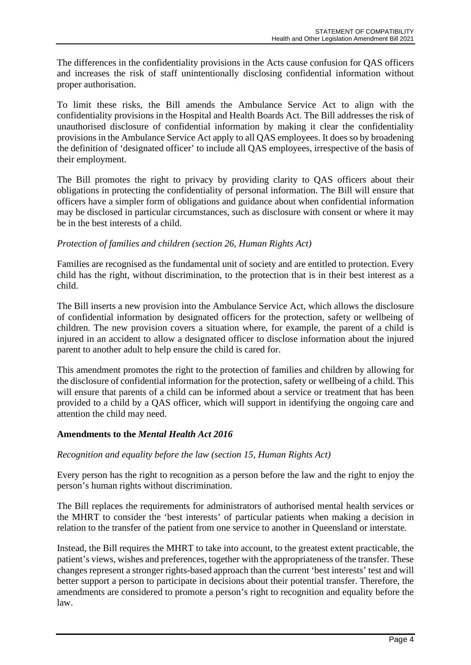The differences in the confidentiality provisions in the Acts cause confusion for QAS officers and increases the risk of staff unintentionally disclosing confidential information without proper authorisation.

To limit these risks, the Bill amends the Ambulance Service Act to align with the confidentiality provisions in the Hospital and Health Boards Act. The Bill addresses the risk of unauthorised disclosure of confidential information by making it clear the confidentiality provisions in the Ambulance Service Act apply to all QAS employees. It does so by broadening the definition of 'designated officer' to include all QAS employees, irrespective of the basis of their employment.

The Bill promotes the right to privacy by providing clarity to QAS officers about their obligations in protecting the confidentiality of personal information. The Bill will ensure that officers have a simpler form of obligations and guidance about when confidential information may be disclosed in particular circumstances, such as disclosure with consent or where it may be in the best interests of a child.

#### *Protection of families and children (section 26, Human Rights Act)*

Families are recognised as the fundamental unit of society and are entitled to protection. Every child has the right, without discrimination, to the protection that is in their best interest as a child.

The Bill inserts a new provision into the Ambulance Service Act, which allows the disclosure of confidential information by designated officers for the protection, safety or wellbeing of children. The new provision covers a situation where, for example, the parent of a child is injured in an accident to allow a designated officer to disclose information about the injured parent to another adult to help ensure the child is cared for.

This amendment promotes the right to the protection of families and children by allowing for the disclosure of confidential information for the protection, safety or wellbeing of a child. This will ensure that parents of a child can be informed about a service or treatment that has been provided to a child by a QAS officer, which will support in identifying the ongoing care and attention the child may need.

#### **Amendments to the** *Mental Health Act 2016*

#### *Recognition and equality before the law (section 15, Human Rights Act)*

Every person has the right to recognition as a person before the law and the right to enjoy the person's human rights without discrimination.

The Bill replaces the requirements for administrators of authorised mental health services or the MHRT to consider the 'best interests' of particular patients when making a decision in relation to the transfer of the patient from one service to another in Queensland or interstate.

Instead, the Bill requires the MHRT to take into account, to the greatest extent practicable, the patient's views, wishes and preferences, together with the appropriateness of the transfer. These changes represent a stronger rights-based approach than the current 'best interests' test and will better support a person to participate in decisions about their potential transfer. Therefore, the amendments are considered to promote a person's right to recognition and equality before the law.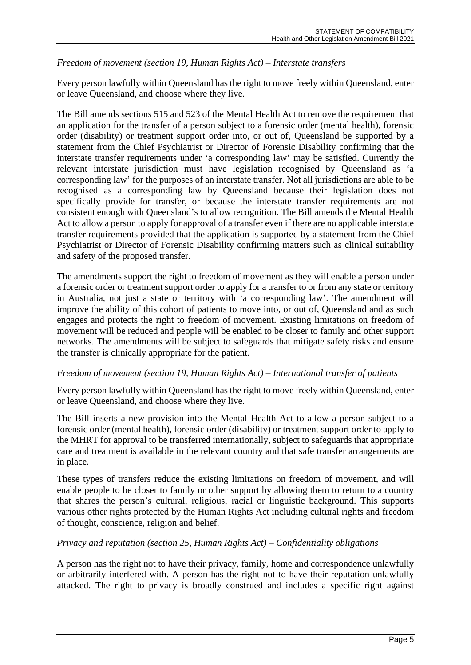#### *Freedom of movement (section 19, Human Rights Act) – Interstate transfers*

Every person lawfully within Queensland has the right to move freely within Queensland, enter or leave Queensland, and choose where they live.

The Bill amends sections 515 and 523 of the Mental Health Act to remove the requirement that an application for the transfer of a person subject to a forensic order (mental health), forensic order (disability) or treatment support order into, or out of, Queensland be supported by a statement from the Chief Psychiatrist or Director of Forensic Disability confirming that the interstate transfer requirements under 'a corresponding law' may be satisfied. Currently the relevant interstate jurisdiction must have legislation recognised by Queensland as 'a corresponding law' for the purposes of an interstate transfer. Not all jurisdictions are able to be recognised as a corresponding law by Queensland because their legislation does not specifically provide for transfer, or because the interstate transfer requirements are not consistent enough with Queensland's to allow recognition. The Bill amends the Mental Health Act to allow a person to apply for approval of a transfer even if there are no applicable interstate transfer requirements provided that the application is supported by a statement from the Chief Psychiatrist or Director of Forensic Disability confirming matters such as clinical suitability and safety of the proposed transfer.

The amendments support the right to freedom of movement as they will enable a person under a forensic order or treatment support order to apply for a transfer to or from any state or territory in Australia, not just a state or territory with 'a corresponding law'. The amendment will improve the ability of this cohort of patients to move into, or out of, Queensland and as such engages and protects the right to freedom of movement. Existing limitations on freedom of movement will be reduced and people will be enabled to be closer to family and other support networks. The amendments will be subject to safeguards that mitigate safety risks and ensure the transfer is clinically appropriate for the patient.

#### *Freedom of movement (section 19, Human Rights Act) – International transfer of patients*

Every person lawfully within Queensland has the right to move freely within Queensland, enter or leave Queensland, and choose where they live.

The Bill inserts a new provision into the Mental Health Act to allow a person subject to a forensic order (mental health), forensic order (disability) or treatment support order to apply to the MHRT for approval to be transferred internationally, subject to safeguards that appropriate care and treatment is available in the relevant country and that safe transfer arrangements are in place.

These types of transfers reduce the existing limitations on freedom of movement, and will enable people to be closer to family or other support by allowing them to return to a country that shares the person's cultural, religious, racial or linguistic background. This supports various other rights protected by the Human Rights Act including cultural rights and freedom of thought, conscience, religion and belief.

#### *Privacy and reputation (section 25, Human Rights Act) – Confidentiality obligations*

A person has the right not to have their privacy, family, home and correspondence unlawfully or arbitrarily interfered with. A person has the right not to have their reputation unlawfully attacked. The right to privacy is broadly construed and includes a specific right against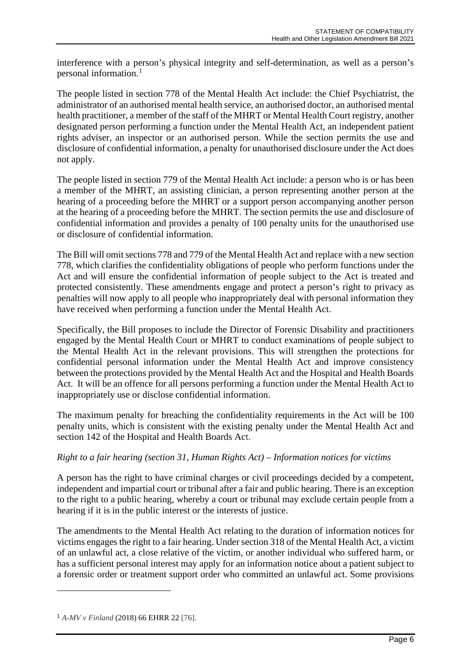interference with a person's physical integrity and self-determination, as well as a person's personal information.[1](#page-5-0)

The people listed in section 778 of the Mental Health Act include: the Chief Psychiatrist, the administrator of an authorised mental health service, an authorised doctor, an authorised mental health practitioner, a member of the staff of the MHRT or Mental Health Court registry, another designated person performing a function under the Mental Health Act, an independent patient rights adviser, an inspector or an authorised person. While the section permits the use and disclosure of confidential information, a penalty for unauthorised disclosure under the Act does not apply.

The people listed in section 779 of the Mental Health Act include: a person who is or has been a member of the MHRT, an assisting clinician, a person representing another person at the hearing of a proceeding before the MHRT or a support person accompanying another person at the hearing of a proceeding before the MHRT. The section permits the use and disclosure of confidential information and provides a penalty of 100 penalty units for the unauthorised use or disclosure of confidential information.

The Bill will omit sections 778 and 779 of the Mental Health Act and replace with a new section 778, which clarifies the confidentiality obligations of people who perform functions under the Act and will ensure the confidential information of people subject to the Act is treated and protected consistently. These amendments engage and protect a person's right to privacy as penalties will now apply to all people who inappropriately deal with personal information they have received when performing a function under the Mental Health Act.

Specifically, the Bill proposes to include the Director of Forensic Disability and practitioners engaged by the Mental Health Court or MHRT to conduct examinations of people subject to the Mental Health Act in the relevant provisions. This will strengthen the protections for confidential personal information under the Mental Health Act and improve consistency between the protections provided by the Mental Health Act and the Hospital and Health Boards Act. It will be an offence for all persons performing a function under the Mental Health Act to inappropriately use or disclose confidential information.

The maximum penalty for breaching the confidentiality requirements in the Act will be 100 penalty units, which is consistent with the existing penalty under the Mental Health Act and section 142 of the Hospital and Health Boards Act.

#### *Right to a fair hearing (section 31, Human Rights Act) – Information notices for victims*

A person has the right to have criminal charges or civil proceedings decided by a competent, independent and impartial court or tribunal after a fair and public hearing. There is an exception to the right to a public hearing, whereby a court or tribunal may exclude certain people from a hearing if it is in the public interest or the interests of justice.

The amendments to the Mental Health Act relating to the duration of information notices for victims engages the right to a fair hearing. Under section 318 of the Mental Health Act, a victim of an unlawful act, a close relative of the victim, or another individual who suffered harm, or has a sufficient personal interest may apply for an information notice about a patient subject to a forensic order or treatment support order who committed an unlawful act. Some provisions

<span id="page-5-0"></span><sup>1</sup> *A-MV v Finland* (2018) 66 EHRR 22 [76].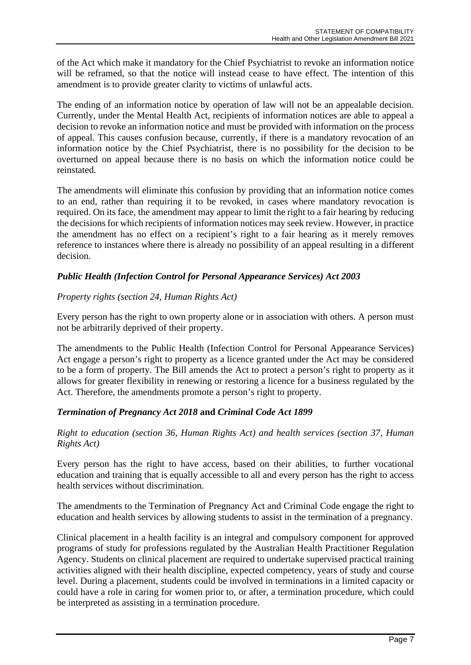of the Act which make it mandatory for the Chief Psychiatrist to revoke an information notice will be reframed, so that the notice will instead cease to have effect. The intention of this amendment is to provide greater clarity to victims of unlawful acts.

The ending of an information notice by operation of law will not be an appealable decision. Currently, under the Mental Health Act, recipients of information notices are able to appeal a decision to revoke an information notice and must be provided with information on the process of appeal. This causes confusion because, currently, if there is a mandatory revocation of an information notice by the Chief Psychiatrist, there is no possibility for the decision to be overturned on appeal because there is no basis on which the information notice could be reinstated.

The amendments will eliminate this confusion by providing that an information notice comes to an end, rather than requiring it to be revoked, in cases where mandatory revocation is required. On its face, the amendment may appear to limit the right to a fair hearing by reducing the decisions for which recipients of information notices may seek review. However, in practice the amendment has no effect on a recipient's right to a fair hearing as it merely removes reference to instances where there is already no possibility of an appeal resulting in a different decision.

#### *Public Health (Infection Control for Personal Appearance Services) Act 2003*

#### *Property rights (section 24, Human Rights Act)*

Every person has the right to own property alone or in association with others. A person must not be arbitrarily deprived of their property.

The amendments to the Public Health (Infection Control for Personal Appearance Services) Act engage a person's right to property as a licence granted under the Act may be considered to be a form of property. The Bill amends the Act to protect a person's right to property as it allows for greater flexibility in renewing or restoring a licence for a business regulated by the Act. Therefore, the amendments promote a person's right to property.

#### *Termination of Pregnancy Act 2018* **and** *Criminal Code Act 1899*

*Right to education (section 36, Human Rights Act) and health services (section 37, Human Rights Act)*

Every person has the right to have access, based on their abilities, to further vocational education and training that is equally accessible to all and every person has the right to access health services without discrimination.

The amendments to the Termination of Pregnancy Act and Criminal Code engage the right to education and health services by allowing students to assist in the termination of a pregnancy.

Clinical placement in a health facility is an integral and compulsory component for approved programs of study for professions regulated by the Australian Health Practitioner Regulation Agency. Students on clinical placement are required to undertake supervised practical training activities aligned with their health discipline, expected competency, years of study and course level. During a placement, students could be involved in terminations in a limited capacity or could have a role in caring for women prior to, or after, a termination procedure, which could be interpreted as assisting in a termination procedure.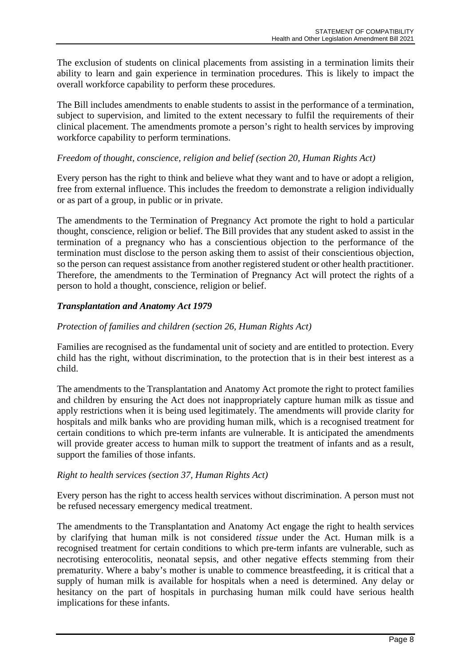The exclusion of students on clinical placements from assisting in a termination limits their ability to learn and gain experience in termination procedures. This is likely to impact the overall workforce capability to perform these procedures.

The Bill includes amendments to enable students to assist in the performance of a termination, subject to supervision, and limited to the extent necessary to fulfil the requirements of their clinical placement. The amendments promote a person's right to health services by improving workforce capability to perform terminations.

#### *Freedom of thought, conscience, religion and belief (section 20, Human Rights Act)*

Every person has the right to think and believe what they want and to have or adopt a religion, free from external influence. This includes the freedom to demonstrate a religion individually or as part of a group, in public or in private.

The amendments to the Termination of Pregnancy Act promote the right to hold a particular thought, conscience, religion or belief. The Bill provides that any student asked to assist in the termination of a pregnancy who has a conscientious objection to the performance of the termination must disclose to the person asking them to assist of their conscientious objection, so the person can request assistance from another registered student or other health practitioner. Therefore, the amendments to the Termination of Pregnancy Act will protect the rights of a person to hold a thought, conscience, religion or belief.

#### *Transplantation and Anatomy Act 1979*

#### *Protection of families and children (section 26, Human Rights Act)*

Families are recognised as the fundamental unit of society and are entitled to protection. Every child has the right, without discrimination, to the protection that is in their best interest as a child.

The amendments to the Transplantation and Anatomy Act promote the right to protect families and children by ensuring the Act does not inappropriately capture human milk as tissue and apply restrictions when it is being used legitimately. The amendments will provide clarity for hospitals and milk banks who are providing human milk, which is a recognised treatment for certain conditions to which pre-term infants are vulnerable. It is anticipated the amendments will provide greater access to human milk to support the treatment of infants and as a result, support the families of those infants.

#### *Right to health services (section 37, Human Rights Act)*

Every person has the right to access health services without discrimination. A person must not be refused necessary emergency medical treatment.

The amendments to the Transplantation and Anatomy Act engage the right to health services by clarifying that human milk is not considered *tissue* under the Act. Human milk is a recognised treatment for certain conditions to which pre-term infants are vulnerable, such as necrotising enterocolitis, neonatal sepsis, and other negative effects stemming from their prematurity. Where a baby's mother is unable to commence breastfeeding, it is critical that a supply of human milk is available for hospitals when a need is determined. Any delay or hesitancy on the part of hospitals in purchasing human milk could have serious health implications for these infants.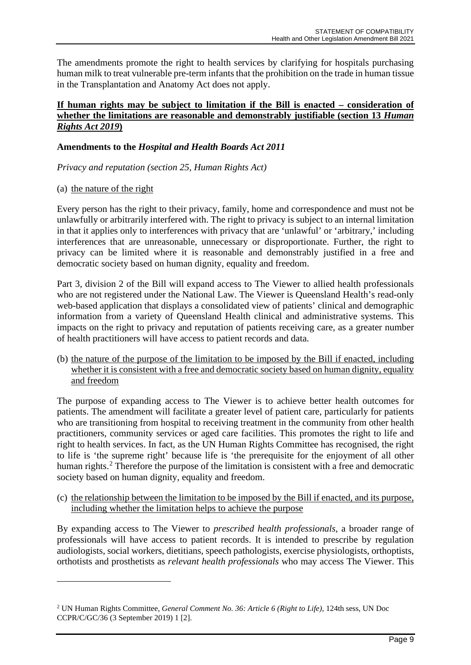The amendments promote the right to health services by clarifying for hospitals purchasing human milk to treat vulnerable pre-term infants that the prohibition on the trade in human tissue in the Transplantation and Anatomy Act does not apply.

#### **If human rights may be subject to limitation if the Bill is enacted – consideration of whether the limitations are reasonable and demonstrably justifiable (section 13** *Human Rights Act 2019***)**

#### **Amendments to the** *Hospital and Health Boards Act 2011*

*Privacy and reputation (section 25, Human Rights Act)*

#### (a) the nature of the right

Every person has the right to their privacy, family, home and correspondence and must not be unlawfully or arbitrarily interfered with. The right to privacy is subject to an internal limitation in that it applies only to interferences with privacy that are 'unlawful' or 'arbitrary,' including interferences that are unreasonable, unnecessary or disproportionate. Further, the right to privacy can be limited where it is reasonable and demonstrably justified in a free and democratic society based on human dignity, equality and freedom.

Part 3, division 2 of the Bill will expand access to The Viewer to allied health professionals who are not registered under the National Law. The Viewer is Queensland Health's read-only web-based application that displays a consolidated view of patients' clinical and demographic information from a variety of Queensland Health clinical and administrative systems. This impacts on the right to privacy and reputation of patients receiving care, as a greater number of health practitioners will have access to patient records and data.

(b) the nature of the purpose of the limitation to be imposed by the Bill if enacted, including whether it is consistent with a free and democratic society based on human dignity, equality and freedom

The purpose of expanding access to The Viewer is to achieve better health outcomes for patients. The amendment will facilitate a greater level of patient care, particularly for patients who are transitioning from hospital to receiving treatment in the community from other health practitioners, community services or aged care facilities. This promotes the right to life and right to health services. In fact, as the UN Human Rights Committee has recognised, the right to life is 'the supreme right' because life is 'the prerequisite for the enjoyment of all other human rights.<sup>[2](#page-8-0)</sup> Therefore the purpose of the limitation is consistent with a free and democratic society based on human dignity, equality and freedom.

(c) the relationship between the limitation to be imposed by the Bill if enacted, and its purpose, including whether the limitation helps to achieve the purpose

By expanding access to The Viewer to *prescribed health professionals,* a broader range of professionals will have access to patient records. It is intended to prescribe by regulation audiologists, social workers, dietitians, speech pathologists, exercise physiologists, orthoptists, orthotists and prosthetists as *relevant health professionals* who may access The Viewer. This

<span id="page-8-0"></span><sup>2</sup> UN Human Rights Committee, *General Comment No. 36: Article 6 (Right to Life)*, 124th sess, UN Doc CCPR/C/GC/36 (3 September 2019) 1 [2].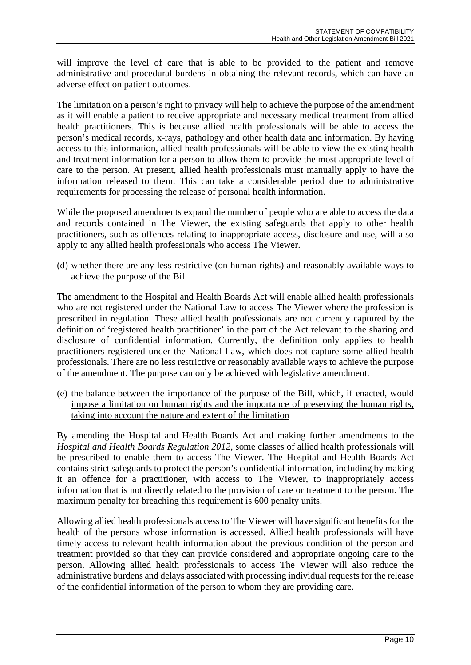will improve the level of care that is able to be provided to the patient and remove administrative and procedural burdens in obtaining the relevant records, which can have an adverse effect on patient outcomes.

The limitation on a person's right to privacy will help to achieve the purpose of the amendment as it will enable a patient to receive appropriate and necessary medical treatment from allied health practitioners. This is because allied health professionals will be able to access the person's medical records, x-rays, pathology and other health data and information. By having access to this information, allied health professionals will be able to view the existing health and treatment information for a person to allow them to provide the most appropriate level of care to the person. At present, allied health professionals must manually apply to have the information released to them. This can take a considerable period due to administrative requirements for processing the release of personal health information.

While the proposed amendments expand the number of people who are able to access the data and records contained in The Viewer, the existing safeguards that apply to other health practitioners, such as offences relating to inappropriate access, disclosure and use, will also apply to any allied health professionals who access The Viewer.

(d) whether there are any less restrictive (on human rights) and reasonably available ways to achieve the purpose of the Bill

The amendment to the Hospital and Health Boards Act will enable allied health professionals who are not registered under the National Law to access The Viewer where the profession is prescribed in regulation. These allied health professionals are not currently captured by the definition of 'registered health practitioner' in the part of the Act relevant to the sharing and disclosure of confidential information. Currently, the definition only applies to health practitioners registered under the National Law, which does not capture some allied health professionals. There are no less restrictive or reasonably available ways to achieve the purpose of the amendment. The purpose can only be achieved with legislative amendment.

(e) the balance between the importance of the purpose of the Bill, which, if enacted, would impose a limitation on human rights and the importance of preserving the human rights, taking into account the nature and extent of the limitation

By amending the Hospital and Health Boards Act and making further amendments to the *Hospital and Health Boards Regulation 2012*, some classes of allied health professionals will be prescribed to enable them to access The Viewer. The Hospital and Health Boards Act contains strict safeguards to protect the person's confidential information, including by making it an offence for a practitioner, with access to The Viewer, to inappropriately access information that is not directly related to the provision of care or treatment to the person. The maximum penalty for breaching this requirement is 600 penalty units.

Allowing allied health professionals access to The Viewer will have significant benefits for the health of the persons whose information is accessed. Allied health professionals will have timely access to relevant health information about the previous condition of the person and treatment provided so that they can provide considered and appropriate ongoing care to the person. Allowing allied health professionals to access The Viewer will also reduce the administrative burdens and delays associated with processing individual requestsfor the release of the confidential information of the person to whom they are providing care.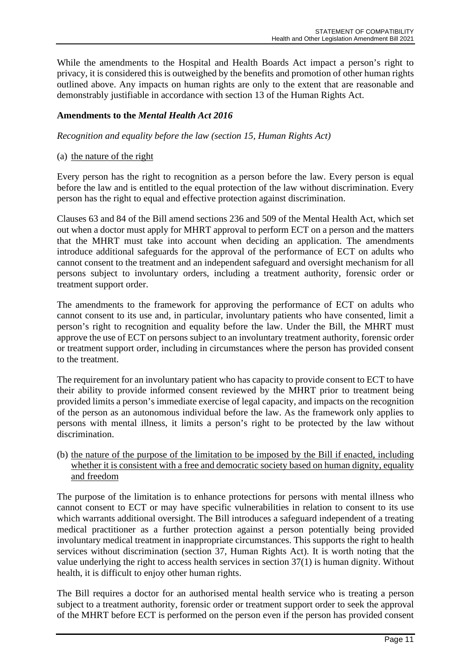While the amendments to the Hospital and Health Boards Act impact a person's right to privacy, it is considered this is outweighed by the benefits and promotion of other human rights outlined above. Any impacts on human rights are only to the extent that are reasonable and demonstrably justifiable in accordance with section 13 of the Human Rights Act.

#### **Amendments to the** *Mental Health Act 2016*

*Recognition and equality before the law (section 15, Human Rights Act)*

#### (a) the nature of the right

Every person has the right to recognition as a person before the law. Every person is equal before the law and is entitled to the equal protection of the law without discrimination. Every person has the right to equal and effective protection against discrimination.

Clauses 63 and 84 of the Bill amend sections 236 and 509 of the Mental Health Act, which set out when a doctor must apply for MHRT approval to perform ECT on a person and the matters that the MHRT must take into account when deciding an application. The amendments introduce additional safeguards for the approval of the performance of ECT on adults who cannot consent to the treatment and an independent safeguard and oversight mechanism for all persons subject to involuntary orders, including a treatment authority, forensic order or treatment support order.

The amendments to the framework for approving the performance of ECT on adults who cannot consent to its use and, in particular, involuntary patients who have consented, limit a person's right to recognition and equality before the law. Under the Bill, the MHRT must approve the use of ECT on persons subject to an involuntary treatment authority, forensic order or treatment support order, including in circumstances where the person has provided consent to the treatment.

The requirement for an involuntary patient who has capacity to provide consent to ECT to have their ability to provide informed consent reviewed by the MHRT prior to treatment being provided limits a person's immediate exercise of legal capacity, and impacts on the recognition of the person as an autonomous individual before the law. As the framework only applies to persons with mental illness, it limits a person's right to be protected by the law without discrimination.

(b) the nature of the purpose of the limitation to be imposed by the Bill if enacted, including whether it is consistent with a free and democratic society based on human dignity, equality and freedom

The purpose of the limitation is to enhance protections for persons with mental illness who cannot consent to ECT or may have specific vulnerabilities in relation to consent to its use which warrants additional oversight. The Bill introduces a safeguard independent of a treating medical practitioner as a further protection against a person potentially being provided involuntary medical treatment in inappropriate circumstances. This supports the right to health services without discrimination (section 37, Human Rights Act). It is worth noting that the value underlying the right to access health services in section 37(1) is human dignity. Without health, it is difficult to enjoy other human rights.

The Bill requires a doctor for an authorised mental health service who is treating a person subject to a treatment authority, forensic order or treatment support order to seek the approval of the MHRT before ECT is performed on the person even if the person has provided consent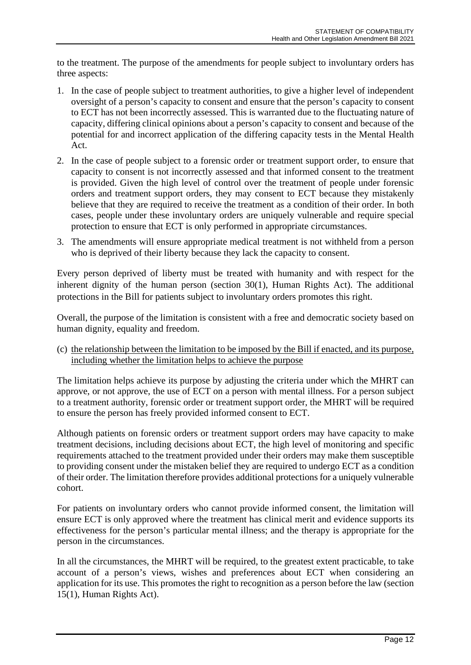to the treatment. The purpose of the amendments for people subject to involuntary orders has three aspects:

- 1. In the case of people subject to treatment authorities, to give a higher level of independent oversight of a person's capacity to consent and ensure that the person's capacity to consent to ECT has not been incorrectly assessed. This is warranted due to the fluctuating nature of capacity, differing clinical opinions about a person's capacity to consent and because of the potential for and incorrect application of the differing capacity tests in the Mental Health Act.
- 2. In the case of people subject to a forensic order or treatment support order, to ensure that capacity to consent is not incorrectly assessed and that informed consent to the treatment is provided. Given the high level of control over the treatment of people under forensic orders and treatment support orders, they may consent to ECT because they mistakenly believe that they are required to receive the treatment as a condition of their order. In both cases, people under these involuntary orders are uniquely vulnerable and require special protection to ensure that ECT is only performed in appropriate circumstances.
- 3. The amendments will ensure appropriate medical treatment is not withheld from a person who is deprived of their liberty because they lack the capacity to consent.

Every person deprived of liberty must be treated with humanity and with respect for the inherent dignity of the human person (section 30(1), Human Rights Act). The additional protections in the Bill for patients subject to involuntary orders promotes this right.

Overall, the purpose of the limitation is consistent with a free and democratic society based on human dignity, equality and freedom.

(c) the relationship between the limitation to be imposed by the Bill if enacted, and its purpose, including whether the limitation helps to achieve the purpose

The limitation helps achieve its purpose by adjusting the criteria under which the MHRT can approve, or not approve, the use of ECT on a person with mental illness. For a person subject to a treatment authority, forensic order or treatment support order, the MHRT will be required to ensure the person has freely provided informed consent to ECT.

Although patients on forensic orders or treatment support orders may have capacity to make treatment decisions, including decisions about ECT, the high level of monitoring and specific requirements attached to the treatment provided under their orders may make them susceptible to providing consent under the mistaken belief they are required to undergo ECT as a condition of their order. The limitation therefore provides additional protectionsfor a uniquely vulnerable cohort.

For patients on involuntary orders who cannot provide informed consent, the limitation will ensure ECT is only approved where the treatment has clinical merit and evidence supports its effectiveness for the person's particular mental illness; and the therapy is appropriate for the person in the circumstances.

In all the circumstances, the MHRT will be required, to the greatest extent practicable, to take account of a person's views, wishes and preferences about ECT when considering an application for its use. This promotes the right to recognition as a person before the law (section 15(1), Human Rights Act).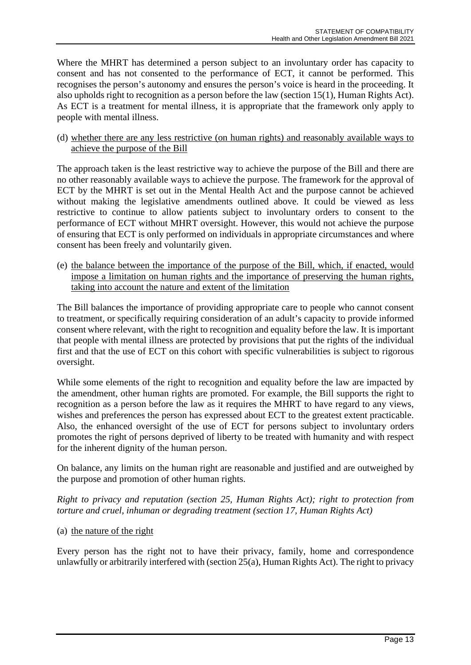Where the MHRT has determined a person subject to an involuntary order has capacity to consent and has not consented to the performance of ECT, it cannot be performed. This recognises the person's autonomy and ensures the person's voice is heard in the proceeding. It also upholds right to recognition as a person before the law (section 15(1), Human Rights Act). As ECT is a treatment for mental illness, it is appropriate that the framework only apply to people with mental illness.

(d) whether there are any less restrictive (on human rights) and reasonably available ways to achieve the purpose of the Bill

The approach taken is the least restrictive way to achieve the purpose of the Bill and there are no other reasonably available ways to achieve the purpose. The framework for the approval of ECT by the MHRT is set out in the Mental Health Act and the purpose cannot be achieved without making the legislative amendments outlined above. It could be viewed as less restrictive to continue to allow patients subject to involuntary orders to consent to the performance of ECT without MHRT oversight. However, this would not achieve the purpose of ensuring that ECT is only performed on individuals in appropriate circumstances and where consent has been freely and voluntarily given.

(e) the balance between the importance of the purpose of the Bill, which, if enacted, would impose a limitation on human rights and the importance of preserving the human rights, taking into account the nature and extent of the limitation

The Bill balances the importance of providing appropriate care to people who cannot consent to treatment, or specifically requiring consideration of an adult's capacity to provide informed consent where relevant, with the right to recognition and equality before the law. It is important that people with mental illness are protected by provisions that put the rights of the individual first and that the use of ECT on this cohort with specific vulnerabilities is subject to rigorous oversight.

While some elements of the right to recognition and equality before the law are impacted by the amendment, other human rights are promoted. For example, the Bill supports the right to recognition as a person before the law as it requires the MHRT to have regard to any views, wishes and preferences the person has expressed about ECT to the greatest extent practicable. Also, the enhanced oversight of the use of ECT for persons subject to involuntary orders promotes the right of persons deprived of liberty to be treated with humanity and with respect for the inherent dignity of the human person.

On balance, any limits on the human right are reasonable and justified and are outweighed by the purpose and promotion of other human rights.

*Right to privacy and reputation (section 25, Human Rights Act); right to protection from torture and cruel, inhuman or degrading treatment (section 17, Human Rights Act)*

(a) the nature of the right

Every person has the right not to have their privacy, family, home and correspondence unlawfully or arbitrarily interfered with (section 25(a), Human Rights Act). The right to privacy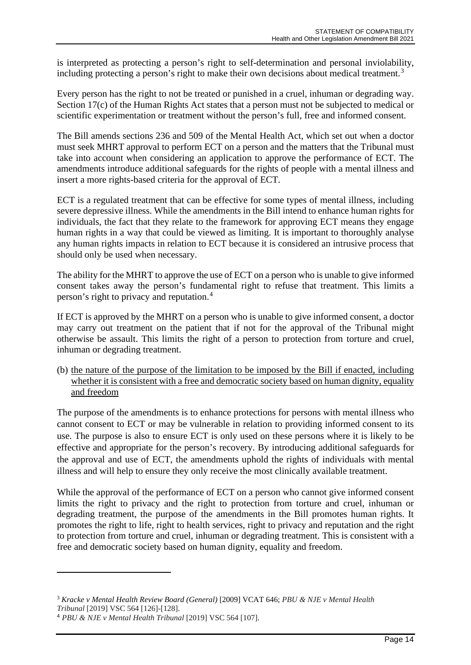is interpreted as protecting a person's right to self-determination and personal inviolability, including protecting a person's right to make their own decisions about medical treatment.<sup>[3](#page-13-0)</sup>

Every person has the right to not be treated or punished in a cruel, inhuman or degrading way. Section 17(c) of the Human Rights Act states that a person must not be subjected to medical or scientific experimentation or treatment without the person's full, free and informed consent.

The Bill amends sections 236 and 509 of the Mental Health Act, which set out when a doctor must seek MHRT approval to perform ECT on a person and the matters that the Tribunal must take into account when considering an application to approve the performance of ECT. The amendments introduce additional safeguards for the rights of people with a mental illness and insert a more rights-based criteria for the approval of ECT.

ECT is a regulated treatment that can be effective for some types of mental illness, including severe depressive illness. While the amendments in the Bill intend to enhance human rights for individuals, the fact that they relate to the framework for approving ECT means they engage human rights in a way that could be viewed as limiting. It is important to thoroughly analyse any human rights impacts in relation to ECT because it is considered an intrusive process that should only be used when necessary.

The ability for the MHRT to approve the use of ECT on a person who is unable to give informed consent takes away the person's fundamental right to refuse that treatment. This limits a person's right to privacy and reputation.[4](#page-13-1)

If ECT is approved by the MHRT on a person who is unable to give informed consent, a doctor may carry out treatment on the patient that if not for the approval of the Tribunal might otherwise be assault. This limits the right of a person to protection from torture and cruel, inhuman or degrading treatment.

(b) the nature of the purpose of the limitation to be imposed by the Bill if enacted, including whether it is consistent with a free and democratic society based on human dignity, equality and freedom

The purpose of the amendments is to enhance protections for persons with mental illness who cannot consent to ECT or may be vulnerable in relation to providing informed consent to its use. The purpose is also to ensure ECT is only used on these persons where it is likely to be effective and appropriate for the person's recovery. By introducing additional safeguards for the approval and use of ECT, the amendments uphold the rights of individuals with mental illness and will help to ensure they only receive the most clinically available treatment.

While the approval of the performance of ECT on a person who cannot give informed consent limits the right to privacy and the right to protection from torture and cruel, inhuman or degrading treatment, the purpose of the amendments in the Bill promotes human rights. It promotes the right to life, right to health services, right to privacy and reputation and the right to protection from torture and cruel, inhuman or degrading treatment. This is consistent with a free and democratic society based on human dignity, equality and freedom.

<span id="page-13-0"></span><sup>3</sup> *Kracke v Mental Health Review Board (General)* [2009] VCAT 646; *PBU & NJE v Mental Health* 

*Tribunal* [2019] VSC 564 [126]-[128].

<span id="page-13-1"></span><sup>4</sup> *PBU & NJE v Mental Health Tribunal* [2019] VSC 564 [107].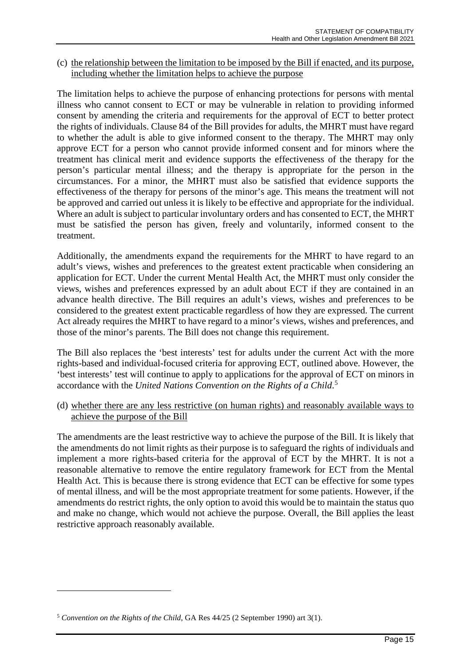(c) the relationship between the limitation to be imposed by the Bill if enacted, and its purpose, including whether the limitation helps to achieve the purpose

The limitation helps to achieve the purpose of enhancing protections for persons with mental illness who cannot consent to ECT or may be vulnerable in relation to providing informed consent by amending the criteria and requirements for the approval of ECT to better protect the rights of individuals. Clause 84 of the Bill provides for adults, the MHRT must have regard to whether the adult is able to give informed consent to the therapy. The MHRT may only approve ECT for a person who cannot provide informed consent and for minors where the treatment has clinical merit and evidence supports the effectiveness of the therapy for the person's particular mental illness; and the therapy is appropriate for the person in the circumstances. For a minor, the MHRT must also be satisfied that evidence supports the effectiveness of the therapy for persons of the minor's age. This means the treatment will not be approved and carried out unless it is likely to be effective and appropriate for the individual. Where an adult is subject to particular involuntary orders and has consented to ECT, the MHRT must be satisfied the person has given, freely and voluntarily, informed consent to the treatment.

Additionally, the amendments expand the requirements for the MHRT to have regard to an adult's views, wishes and preferences to the greatest extent practicable when considering an application for ECT. Under the current Mental Health Act, the MHRT must only consider the views, wishes and preferences expressed by an adult about ECT if they are contained in an advance health directive. The Bill requires an adult's views, wishes and preferences to be considered to the greatest extent practicable regardless of how they are expressed. The current Act already requires the MHRT to have regard to a minor's views, wishes and preferences, and those of the minor's parents. The Bill does not change this requirement.

The Bill also replaces the 'best interests' test for adults under the current Act with the more rights-based and individual-focused criteria for approving ECT, outlined above. However, the 'best interests' test will continue to apply to applications for the approval of ECT on minors in accordance with the *United Nations Convention on the Rights of a Child*. [5](#page-14-0)

(d) whether there are any less restrictive (on human rights) and reasonably available ways to achieve the purpose of the Bill

The amendments are the least restrictive way to achieve the purpose of the Bill. It is likely that the amendments do not limit rights as their purpose is to safeguard the rights of individuals and implement a more rights-based criteria for the approval of ECT by the MHRT. It is not a reasonable alternative to remove the entire regulatory framework for ECT from the Mental Health Act. This is because there is strong evidence that ECT can be effective for some types of mental illness, and will be the most appropriate treatment for some patients. However, if the amendments do restrict rights, the only option to avoid this would be to maintain the status quo and make no change, which would not achieve the purpose. Overall, the Bill applies the least restrictive approach reasonably available.

<span id="page-14-0"></span><sup>5</sup> *Convention on the Rights of the Child*, GA Res 44/25 (2 September 1990) art 3(1).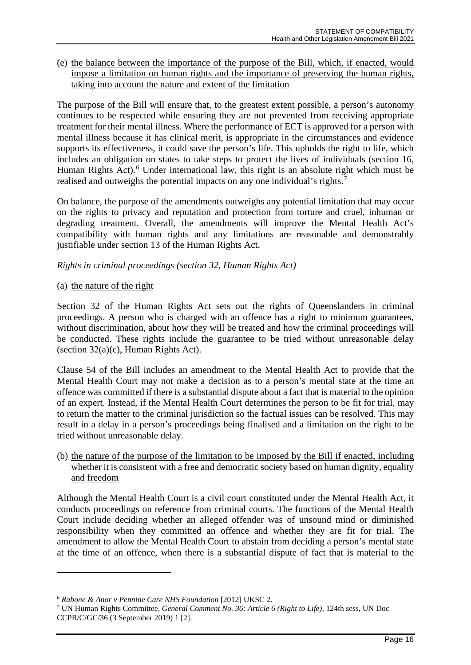#### (e) the balance between the importance of the purpose of the Bill, which, if enacted, would impose a limitation on human rights and the importance of preserving the human rights, taking into account the nature and extent of the limitation

The purpose of the Bill will ensure that, to the greatest extent possible, a person's autonomy continues to be respected while ensuring they are not prevented from receiving appropriate treatment for their mental illness. Where the performance of ECT is approved for a person with mental illness because it has clinical merit, is appropriate in the circumstances and evidence supports its effectiveness, it could save the person's life. This upholds the right to life, which includes an obligation on states to take steps to protect the lives of individuals (section 16, Human Rights Act).<sup>[6](#page-15-0)</sup> Under international law, this right is an absolute right which must be realised and outweighs the potential impacts on any one individual's rights.[7](#page-15-1)

On balance, the purpose of the amendments outweighs any potential limitation that may occur on the rights to privacy and reputation and protection from torture and cruel, inhuman or degrading treatment. Overall, the amendments will improve the Mental Health Act's compatibility with human rights and any limitations are reasonable and demonstrably justifiable under section 13 of the Human Rights Act.

#### *Rights in criminal proceedings (section 32, Human Rights Act)*

#### (a) the nature of the right

Section 32 of the Human Rights Act sets out the rights of Queenslanders in criminal proceedings. A person who is charged with an offence has a right to minimum guarantees, without discrimination, about how they will be treated and how the criminal proceedings will be conducted. These rights include the guarantee to be tried without unreasonable delay (section 32(a)(c), Human Rights Act).

Clause 54 of the Bill includes an amendment to the Mental Health Act to provide that the Mental Health Court may not make a decision as to a person's mental state at the time an offence was committed if there is a substantial dispute about a fact that is material to the opinion of an expert. Instead, if the Mental Health Court determines the person to be fit for trial, may to return the matter to the criminal jurisdiction so the factual issues can be resolved. This may result in a delay in a person's proceedings being finalised and a limitation on the right to be tried without unreasonable delay.

(b) the nature of the purpose of the limitation to be imposed by the Bill if enacted, including whether it is consistent with a free and democratic society based on human dignity, equality and freedom

Although the Mental Health Court is a civil court constituted under the Mental Health Act, it conducts proceedings on reference from criminal courts. The functions of the Mental Health Court include deciding whether an alleged offender was of unsound mind or diminished responsibility when they committed an offence and whether they are fit for trial. The amendment to allow the Mental Health Court to abstain from deciding a person's mental state at the time of an offence, when there is a substantial dispute of fact that is material to the

<span id="page-15-0"></span><sup>6</sup> *Rabone & Anor v Pennine Care NHS Foundation* [2012] UKSC 2.

<span id="page-15-1"></span><sup>7</sup> UN Human Rights Committee*, General Comment No. 36: Article 6 (Right to Life)*, 124th sess, UN Doc CCPR/C/GC/36 (3 September 2019) 1 [2].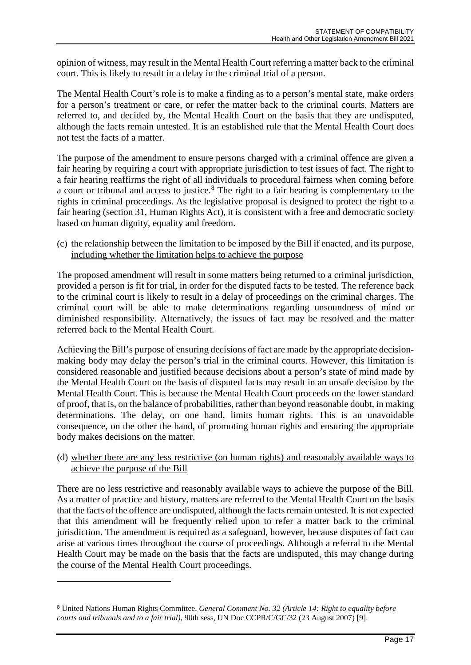opinion of witness, may result in the Mental Health Court referring a matter back to the criminal court. This is likely to result in a delay in the criminal trial of a person.

The Mental Health Court's role is to make a finding as to a person's mental state, make orders for a person's treatment or care, or refer the matter back to the criminal courts. Matters are referred to, and decided by, the Mental Health Court on the basis that they are undisputed, although the facts remain untested. It is an established rule that the Mental Health Court does not test the facts of a matter.

The purpose of the amendment to ensure persons charged with a criminal offence are given a fair hearing by requiring a court with appropriate jurisdiction to test issues of fact. The right to a fair hearing reaffirms the right of all individuals to procedural fairness when coming before a court or tribunal and access to justice.<sup>[8](#page-16-0)</sup> The right to a fair hearing is complementary to the rights in criminal proceedings. As the legislative proposal is designed to protect the right to a fair hearing (section 31, Human Rights Act), it is consistent with a free and democratic society based on human dignity, equality and freedom.

#### (c) the relationship between the limitation to be imposed by the Bill if enacted, and its purpose, including whether the limitation helps to achieve the purpose

The proposed amendment will result in some matters being returned to a criminal jurisdiction, provided a person is fit for trial, in order for the disputed facts to be tested. The reference back to the criminal court is likely to result in a delay of proceedings on the criminal charges. The criminal court will be able to make determinations regarding unsoundness of mind or diminished responsibility. Alternatively, the issues of fact may be resolved and the matter referred back to the Mental Health Court.

Achieving the Bill's purpose of ensuring decisions of fact are made by the appropriate decisionmaking body may delay the person's trial in the criminal courts. However, this limitation is considered reasonable and justified because decisions about a person's state of mind made by the Mental Health Court on the basis of disputed facts may result in an unsafe decision by the Mental Health Court. This is because the Mental Health Court proceeds on the lower standard of proof, that is, on the balance of probabilities, rather than beyond reasonable doubt, in making determinations. The delay, on one hand, limits human rights. This is an unavoidable consequence, on the other the hand, of promoting human rights and ensuring the appropriate body makes decisions on the matter.

(d) whether there are any less restrictive (on human rights) and reasonably available ways to achieve the purpose of the Bill

There are no less restrictive and reasonably available ways to achieve the purpose of the Bill. As a matter of practice and history, matters are referred to the Mental Health Court on the basis that the facts of the offence are undisputed, although the facts remain untested. It is not expected that this amendment will be frequently relied upon to refer a matter back to the criminal jurisdiction. The amendment is required as a safeguard, however, because disputes of fact can arise at various times throughout the course of proceedings. Although a referral to the Mental Health Court may be made on the basis that the facts are undisputed, this may change during the course of the Mental Health Court proceedings.

<span id="page-16-0"></span><sup>8</sup> United Nations Human Rights Committee, *General Comment No. 32 (Article 14: Right to equality before courts and tribunals and to a fair trial)*, 90th sess, UN Doc CCPR/C/GC/32 (23 August 2007) [9].